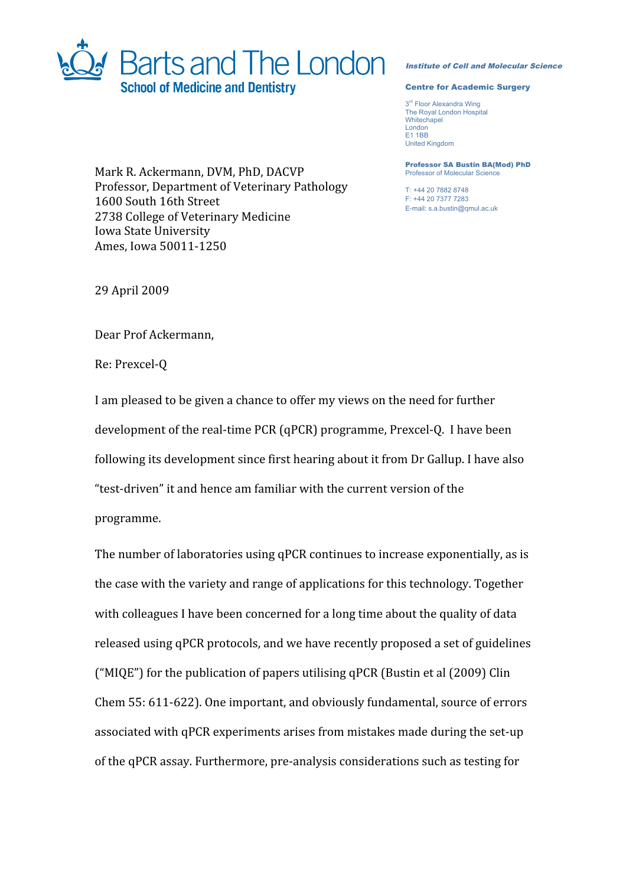

## Institute of Cell and Molecular Science

## Centre for Academic Surgery

3<sup>rd</sup> Floor Alexandra Wing The Royal London Hospital **Whitechapel** London E1 1BB United Kingdom

Professor SA Bustin BA(Mod) PhD Professor of Molecular Science

T: +44 20 7882 8748 F: +44 20 7377 7283 E-mail: s.a.bustin@qmul.ac.uk

Mark
R.
Ackermann,
DVM,
PhD,
DACVP Professor,
Department
of
Veterinary
Pathology 1600
South
16th
Street 2738
College
of
Veterinary
Medicine Iowa
State
University Ames,
Iowa
50011‐1250

29
April
2009

Dear
Prof
Ackermann,

Re:
Prexcel‐Q

I am pleased to be given a chance to offer my views on the need for further development of the real-time PCR (qPCR) programme, Prexcel-Q. I have been following
its
development
since
first
hearing
about
it
from
Dr
Gallup.
I
have
also "test‐driven"
it
and
hence
am
familiar
with
the
current
version
of
the programme.

The
number
of
laboratories
using
qPCR
continues
to
increase
exponentially,
as
is the
case
with
the
variety
and
range
of
applications
for
this
technology.
Together with colleagues I have been concerned for a long time about the quality of data released
using
qPCR
protocols,
and
we
have
recently
proposed
a
set
of
guidelines ("MIQE")
for
the
publication
of
papers
utilising
qPCR
(Bustin
et
al
(2009)
Clin Chem
55:
611‐622).
One
important,
and
obviously
fundamental,
source
of
errors associated
with
qPCR
experiments
arises
from
mistakes
made
during
the
set‐up of
the
qPCR
assay.
Furthermore,
pre‐analysis
considerations
such
as
testing
for